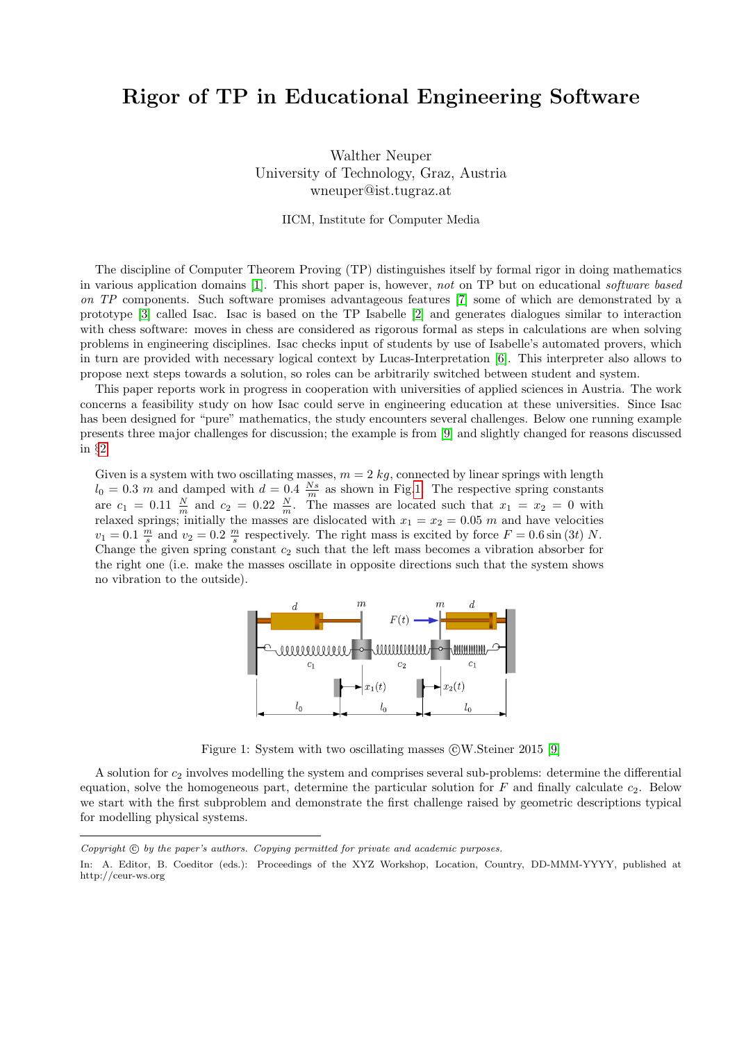# <span id="page-0-1"></span>Rigor of TP in Educational Engineering Software

Walther Neuper University of Technology, Graz, Austria wneuper@ist.tugraz.at

IICM, Institute for Computer Media

The discipline of Computer Theorem Proving (TP) distinguishes itself by formal rigor in doing mathematics in various application domains [\[1\]](#page-4-0). This short paper is, however, not on TP but on educational software based on TP components. Such software promises advantageous features [\[7\]](#page-5-0) some of which are demonstrated by a prototype [\[3\]](#page-4-1) called Isac. Isac is based on the TP Isabelle [\[2\]](#page-4-2) and generates dialogues similar to interaction with chess software: moves in chess are considered as rigorous formal as steps in calculations are when solving problems in engineering disciplines. Isac checks input of students by use of Isabelle's automated provers, which in turn are provided with necessary logical context by Lucas-Interpretation [\[6\]](#page-5-1). This interpreter also allows to propose next steps towards a solution, so roles can be arbitrarily switched between student and system.

This paper reports work in progress in cooperation with universities of applied sciences in Austria. The work concerns a feasibility study on how Isac could serve in engineering education at these universities. Since Isac has been designed for "pure" mathematics, the study encounters several challenges. Below one running example presents three major challenges for discussion; the example is from [\[9\]](#page-5-2) and slightly changed for reasons discussed in §[2:](#page-1-0)

Given is a system with two oscillating masses,  $m = 2$  kg, connected by linear springs with length  $l_0 = 0.3$  m and damped with  $d = 0.4 \frac{Ns}{m}$  as shown in Fig[.1.](#page-0-0) The respective spring constants are  $c_1 = 0.11 \frac{N}{m}$  and  $c_2 = 0.22 \frac{N}{m}$ . The masses are located such that  $x_1 = x_2 = 0$  with relaxed springs; initially the masses are dislocated with  $x_1 = x_2 = 0.05$  m and have velocities  $v_1 = 0.1 \frac{m}{s}$  and  $v_2 = 0.2 \frac{m}{s}$  respectively. The right mass is excited by force  $F = 0.6 \sin(3t) N$ . Change the given spring constant  $c_2$  such that the left mass becomes a vibration absorber for the right one (i.e. make the masses oscillate in opposite directions such that the system shows no vibration to the outside).



<span id="page-0-0"></span>Figure 1: System with two oscillating masses  $\odot$ W.Steiner 2015 [\[9\]](#page-5-2)

A solution for  $c_2$  involves modelling the system and comprises several sub-problems: determine the differential equation, solve the homogeneous part, determine the particular solution for  $F$  and finally calculate  $c_2$ . Below we start with the first subproblem and demonstrate the first challenge raised by geometric descriptions typical for modelling physical systems.

Copyright  $\odot$  by the paper's authors. Copying permitted for private and academic purposes.

In: A. Editor, B. Coeditor (eds.): Proceedings of the XYZ Workshop, Location, Country, DD-MMM-YYYY, published at http://ceur-ws.org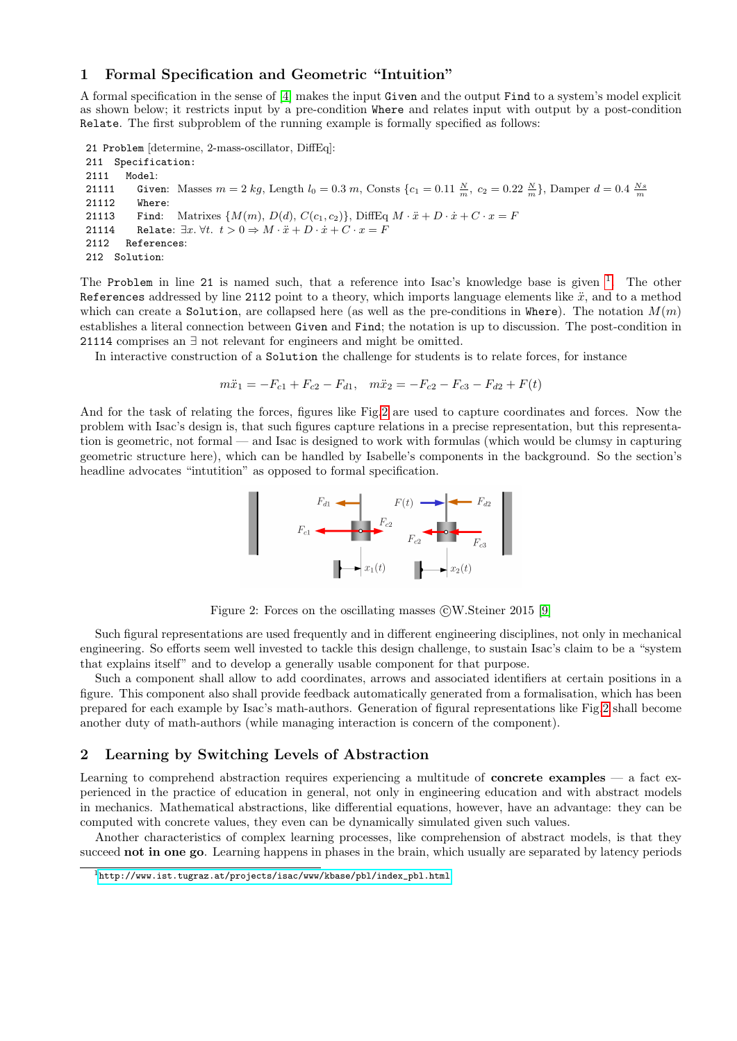## <span id="page-1-3"></span>1 Formal Specification and Geometric "Intuition"

A formal specification in the sense of [\[4\]](#page-4-3) makes the input Given and the output Find to a system's model explicit as shown below; it restricts input by a pre-condition Where and relates input with output by a post-condition Relate. The first subproblem of the running example is formally specified as follows:

```
21 Problem [determine, 2-mass-oscillator, DiffEq]:
```

```
211 Specification:
2111 Model:
21111 Given: Masses m = 2 kg, Length l_0 = 0.3 m, Consts \{c_1 = 0.11 \frac{N}{m}, c_2 = 0.22 \frac{N}{m}\}\, Damper d = 0.4 \frac{Ns}{m}21112 Where:
21113 Find: Matrixes \{M(m), D(d), C(c_1, c_2)\}\, DiffEq M \cdot \ddot{x} + D \cdot \dot{x} + C \cdot x = F21114 Relate: \exists x. \forall t. \ t > 0 \Rightarrow M \cdot \ddot{x} + D \cdot \dot{x} + C \cdot x = F2112 References:
212 Solution:
```
The Problem in line 2[1](#page-1-1) is named such, that a reference into Isac's knowledge base is given  $1$ . The other References addressed by line 2112 point to a theory, which imports language elements like  $\ddot{x}$ , and to a method which can create a Solution, are collapsed here (as well as the pre-conditions in Where). The notation  $M(m)$ establishes a literal connection between Given and Find; the notation is up to discussion. The post-condition in 21114 comprises an ∃ not relevant for engineers and might be omitted.

In interactive construction of a Solution the challenge for students is to relate forces, for instance

 $m\ddot{x}_1 = -F_{c1} + F_{c2} - F_{d1}, \quad m\ddot{x}_2 = -F_{c2} - F_{c3} - F_{d2} + F(t)$ 

And for the task of relating the forces, figures like Fig[.2](#page-1-2) are used to capture coordinates and forces. Now the problem with Isac's design is, that such figures capture relations in a precise representation, but this representation is geometric, not formal — and Isac is designed to work with formulas (which would be clumsy in capturing geometric structure here), which can be handled by Isabelle's components in the background. So the section's headline advocates "intutition" as opposed to formal specification.



<span id="page-1-2"></span>Figure 2: Forces on the oscillating masses  $\odot$ W.Steiner 2015 [\[9\]](#page-5-2)

Such figural representations are used frequently and in different engineering disciplines, not only in mechanical engineering. So efforts seem well invested to tackle this design challenge, to sustain Isac's claim to be a "system that explains itself" and to develop a generally usable component for that purpose.

Such a component shall allow to add coordinates, arrows and associated identifiers at certain positions in a figure. This component also shall provide feedback automatically generated from a formalisation, which has been prepared for each example by Isac's math-authors. Generation of figural representations like Fig[.2](#page-1-2) shall become another duty of math-authors (while managing interaction is concern of the component).

# <span id="page-1-0"></span>2 Learning by Switching Levels of Abstraction

Learning to comprehend abstraction requires experiencing a multitude of **concrete examples**  $-$  a fact experienced in the practice of education in general, not only in engineering education and with abstract models in mechanics. Mathematical abstractions, like differential equations, however, have an advantage: they can be computed with concrete values, they even can be dynamically simulated given such values.

Another characteristics of complex learning processes, like comprehension of abstract models, is that they succeed not in one go. Learning happens in phases in the brain, which usually are separated by latency periods

<span id="page-1-1"></span> $1$ [http://www.ist.tugraz.at/projects/isac/www/kbase/pbl/index\\_pbl.html](http://www.ist.tugraz.at/projects/isac/www/kbase/pbl/index_pbl.html)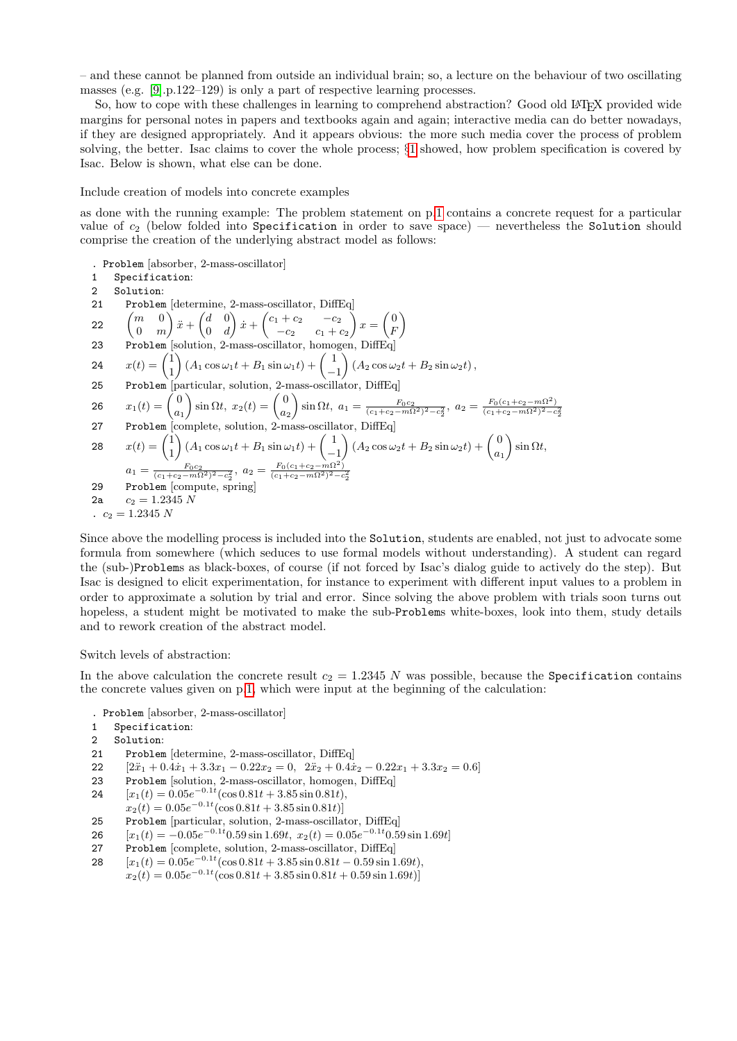– and these cannot be planned from outside an individual brain; so, a lecture on the behaviour of two oscillating masses (e.g. [\[9\]](#page-5-2).p.122–129) is only a part of respective learning processes.

So, how to cope with these challenges in learning to comprehend abstraction? Good old LATEX provided wide margins for personal notes in papers and textbooks again and again; interactive media can do better nowadays, if they are designed appropriately. And it appears obvious: the more such media cover the process of problem solving, the better. Isac claims to cover the whole process; §[1](#page-1-3) showed, how problem specification is covered by Isac. Below is shown, what else can be done.

Include creation of models into concrete examples

as done with the running example: The problem statement on p[.1](#page-0-1) contains a concrete request for a particular value of  $c_2$  (below folded into Specification in order to save space) — nevertheless the Solution should comprise the creation of the underlying abstract model as follows:

- . Problem [absorber, 2-mass-oscillator]
- 1 Specification:
- 2 Solution:
- 21 Problem [determine, 2-mass-oscillator, DiffEq.]
- 22  $\begin{pmatrix} m & 0 \\ 0 & m \end{pmatrix}$ 0 m  $\bigg\}\ddot{x}+\left(\begin{matrix}d&0\\ 0&1\end{matrix}\right)$  $0 \quad d$  $\int x + \begin{pmatrix} c_1 + c_2 & -c_2 \end{pmatrix}$  $-c_2$   $c_1 + c_2$  $x = \begin{pmatrix} 0 \\ 0 \end{pmatrix}$ F  $\setminus$ 23 Problem [solution, 2-mass-oscillator, homogen, DiffEq]
- 24  $x(t) = \begin{pmatrix} 1 \\ 1 \end{pmatrix}$  $\bigg( A_1 \cos \omega_1 t + B_1 \sin \omega_1 t \bigg) + \bigg( \begin{array}{c} 1 \end{array} \bigg)$  $\Big( A_2 \cos \omega_2 t + B_2 \sin \omega_2 t \Big),$
- 1 −1 25 Problem particular, solution, 2-mass-oscillator, DiffEq

$$
26 \t x_1(t) = \begin{pmatrix} 0 \\ a_1 \end{pmatrix} \sin \Omega t, \ x_2(t) = \begin{pmatrix} 0 \\ a_2 \end{pmatrix} \sin \Omega t, \ a_1 = \frac{F_0 c_2}{(c_1 + c_2 - m\Omega^2)^2 - c_2^2}, \ a_2 = \frac{F_0 (c_1 + c_2 - m\Omega^2)}{(c_1 + c_2 - m\Omega^2)^2 - c_2^2}
$$

27 Problem [complete, solution, 2-mass-oscillator, DiffEq]

28 
$$
x(t) = \begin{pmatrix} 1 \\ 1 \end{pmatrix} (A_1 \cos \omega_1 t + B_1 \sin \omega_1 t) + \begin{pmatrix} 1 \\ -1 \end{pmatrix} (A_2 \cos \omega_2 t + B_2 \sin \omega_2 t) + \begin{pmatrix} 0 \\ a_1 \end{pmatrix} \sin \Omega t,
$$
  
\n
$$
a_1 = \frac{F_{0}c_2}{(c_1 + c_2 - m\Omega^2)^2 - c_2^2}, \ a_2 = \frac{F_{0}(c_1 + c_2 - m\Omega^2)}{(c_1 + c_2 - m\Omega^2)^2 - c_2^2}
$$
  
\n29 Problem [compute, spring]

2a 
$$
c_2 = 1.2345 N
$$
  
.  $c_2 = 1.2345 N$ 

Since above the modelling process is included into the Solution, students are enabled, not just to advocate some formula from somewhere (which seduces to use formal models without understanding). A student can regard the (sub-)Problems as black-boxes, of course (if not forced by Isac's dialog guide to actively do the step). But Isac is designed to elicit experimentation, for instance to experiment with different input values to a problem in order to approximate a solution by trial and error. Since solving the above problem with trials soon turns out hopeless, a student might be motivated to make the sub-Problems white-boxes, look into them, study details and to rework creation of the abstract model.

Switch levels of abstraction:

In the above calculation the concrete result  $c_2 = 1.2345 N$  was possible, because the Specification contains the concrete values given on p[.1,](#page-0-1) which were input at the beginning of the calculation:

- . Problem [absorber, 2-mass-oscillator]
- 1 Specification:
- 2 Solution:
- 21 Problem [determine, 2-mass-oscillator, DiffEq]
- 22  $[2\ddot{x}_1 + 0.4\dot{x}_1 + 3.3x_1 0.22x_2 = 0, 2\ddot{x}_2 + 0.4\dot{x}_2 0.22x_1 + 3.3x_2 = 0.6]$
- 23 Problem [solution, 2-mass-oscillator, homogen, DiffEq]
- 24  $[x_1(t) = 0.05e^{-0.1t}(\cos 0.81t + 3.85\sin 0.81t),$
- $x_2(t) = 0.05e^{-0.1t}(\cos 0.81t + 3.85 \sin 0.81t)$
- 25 Problem [particular, solution, 2-mass-oscillator, DiffEq]
- 26  $[x_1(t) = -0.05e^{-0.1t}0.59\sin 1.69t, x_2(t) = 0.05e^{-0.1t}0.59\sin 1.69t]$
- 27 Problem [complete, solution, 2-mass-oscillator, DiffEq]
- 28  $[x_1(t) = 0.05e^{-0.1t}(\cos 0.81t + 3.85\sin 0.81t 0.59\sin 1.69t),$ 
	- $x_2(t) = 0.05e^{-0.1t} (\cos 0.81t + 3.85 \sin 0.81t + 0.59 \sin 1.69t)]$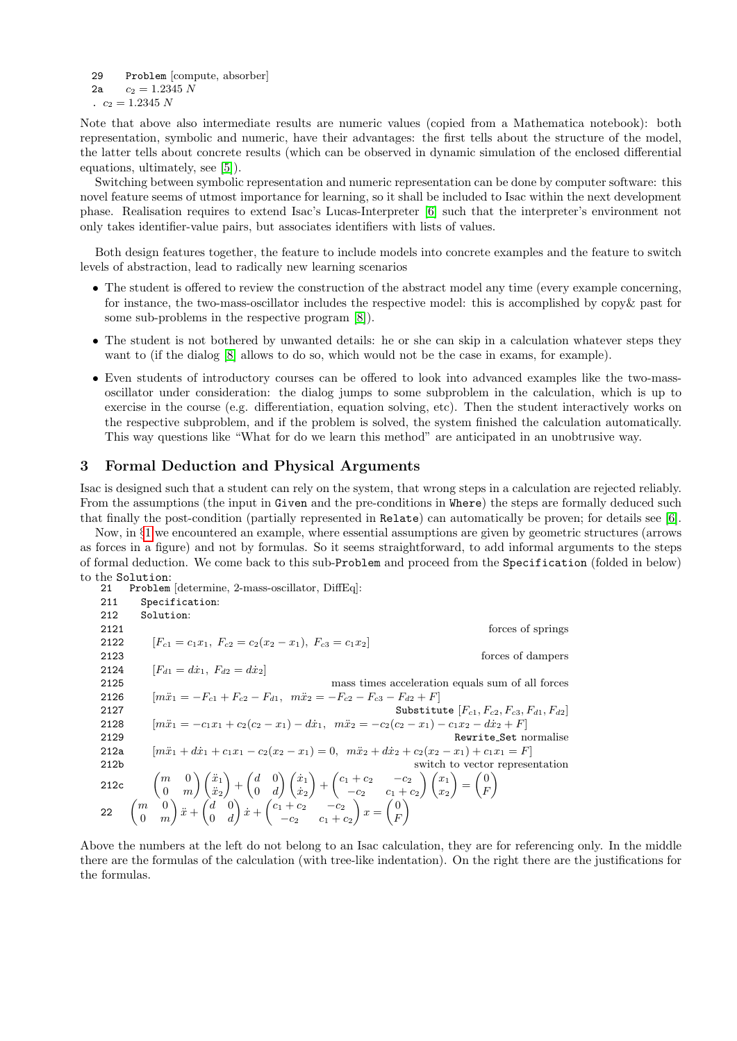29 Problem [compute, absorber] 2a  $c_2 = 1.2345 N$ .  $c_2 = 1.2345 N$ 

Note that above also intermediate results are numeric values (copied from a Mathematica notebook): both representation, symbolic and numeric, have their advantages: the first tells about the structure of the model, the latter tells about concrete results (which can be observed in dynamic simulation of the enclosed differential equations, ultimately, see [\[5\]](#page-4-4)).

Switching between symbolic representation and numeric representation can be done by computer software: this novel feature seems of utmost importance for learning, so it shall be included to Isac within the next development phase. Realisation requires to extend Isac's Lucas-Interpreter [\[6\]](#page-5-1) such that the interpreter's environment not only takes identifier-value pairs, but associates identifiers with lists of values.

Both design features together, the feature to include models into concrete examples and the feature to switch levels of abstraction, lead to radically new learning scenarios

- The student is offered to review the construction of the abstract model any time (every example concerning, for instance, the two-mass-oscillator includes the respective model: this is accomplished by copy& past for some sub-problems in the respective program [\[8\]](#page-5-3)).
- The student is not bothered by unwanted details: he or she can skip in a calculation whatever steps they want to (if the dialog [\[8\]](#page-5-3) allows to do so, which would not be the case in exams, for example).
- Even students of introductory courses can be offered to look into advanced examples like the two-massoscillator under consideration: the dialog jumps to some subproblem in the calculation, which is up to exercise in the course (e.g. differentiation, equation solving, etc). Then the student interactively works on the respective subproblem, and if the problem is solved, the system finished the calculation automatically. This way questions like "What for do we learn this method" are anticipated in an unobtrusive way.

## <span id="page-3-0"></span>3 Formal Deduction and Physical Arguments

Isac is designed such that a student can rely on the system, that wrong steps in a calculation are rejected reliably. From the assumptions (the input in Given and the pre-conditions in Where) the steps are formally deduced such that finally the post-condition (partially represented in Relate) can automatically be proven; for details see [\[6\]](#page-5-1).

Now, in §[1](#page-1-3) we encountered an example, where essential assumptions are given by geometric structures (arrows as forces in a figure) and not by formulas. So it seems straightforward, to add informal arguments to the steps of formal deduction. We come back to this sub-Problem and proceed from the Specification (folded in below) to the Solution:

| 21               | Problem determine, 2-mass-oscillator, DiffEq.                                                                                                                                                                                                                                                                                                       |
|------------------|-----------------------------------------------------------------------------------------------------------------------------------------------------------------------------------------------------------------------------------------------------------------------------------------------------------------------------------------------------|
| 211              | Specification:                                                                                                                                                                                                                                                                                                                                      |
| 212              | Solution:                                                                                                                                                                                                                                                                                                                                           |
| 2121             | forces of springs                                                                                                                                                                                                                                                                                                                                   |
| 2122             | $[F_{c1} = c_1 x_1, F_{c2} = c_2 (x_2 - x_1), F_{c3} = c_1 x_2]$                                                                                                                                                                                                                                                                                    |
| 2123             | forces of dampers                                                                                                                                                                                                                                                                                                                                   |
| 2124             | $[F_{d1} = dx_1, F_{d2} = dx_2]$                                                                                                                                                                                                                                                                                                                    |
| 2125             | mass times acceleration equals sum of all forces                                                                                                                                                                                                                                                                                                    |
| 2126             | $[m\ddot{x}_1 = -F_{c1} + F_{c2} - F_{d1}, m\ddot{x}_2 = -F_{c2} - F_{c3} - F_{d2} + F]$                                                                                                                                                                                                                                                            |
| 2127             | Substitute $[F_{c1}, F_{c2}, F_{c3}, F_{d1}, F_{d2}]$                                                                                                                                                                                                                                                                                               |
| 2128             | $[m\ddot{x}_1 = -c_1x_1 + c_2(c_2 - x_1) - d\dot{x}_1, m\ddot{x}_2 = -c_2(c_2 - x_1) - c_1x_2 - d\dot{x}_2 + F]$                                                                                                                                                                                                                                    |
| 2129             | Rewrite_Set normalise                                                                                                                                                                                                                                                                                                                               |
| 212a             | $[m\ddot{x}_1 + d\dot{x}_1 + c_1x_1 - c_2(x_2 - x_1) = 0, m\ddot{x}_2 + d\dot{x}_2 + c_2(x_2 - x_1) + c_1x_1 = F]$                                                                                                                                                                                                                                  |
| 212 <sub>b</sub> | switch to vector representation                                                                                                                                                                                                                                                                                                                     |
| 212c             | $\begin{pmatrix} m & 0 \ 0 & m \end{pmatrix} \begin{pmatrix} \ddot{x}_1 \ \ddot{x}_2 \end{pmatrix} + \begin{pmatrix} d & 0 \ 0 & d \end{pmatrix} \begin{pmatrix} \dot{x}_1 \ \dot{x}_2 \end{pmatrix} + \begin{pmatrix} c_1+c_2 & -c_2 \ -c_2 & c_1+c_2 \end{pmatrix} \begin{pmatrix} x_1 \ x_2 \end{pmatrix} = \begin{pmatrix} 0 \ F \end{pmatrix}$ |
|                  | 22 $\begin{pmatrix} m & 0 \\ 0 & m \end{pmatrix} x + \begin{pmatrix} d & 0 \\ 0 & d \end{pmatrix} x + \begin{pmatrix} c_1 + c_2 & -c_2 \\ -c_2 & c_1 + c_2 \end{pmatrix} x = \begin{pmatrix} 0 \\ F \end{pmatrix}$                                                                                                                                  |

Above the numbers at the left do not belong to an Isac calculation, they are for referencing only. In the middle there are the formulas of the calculation (with tree-like indentation). On the right there are the justifications for the formulas.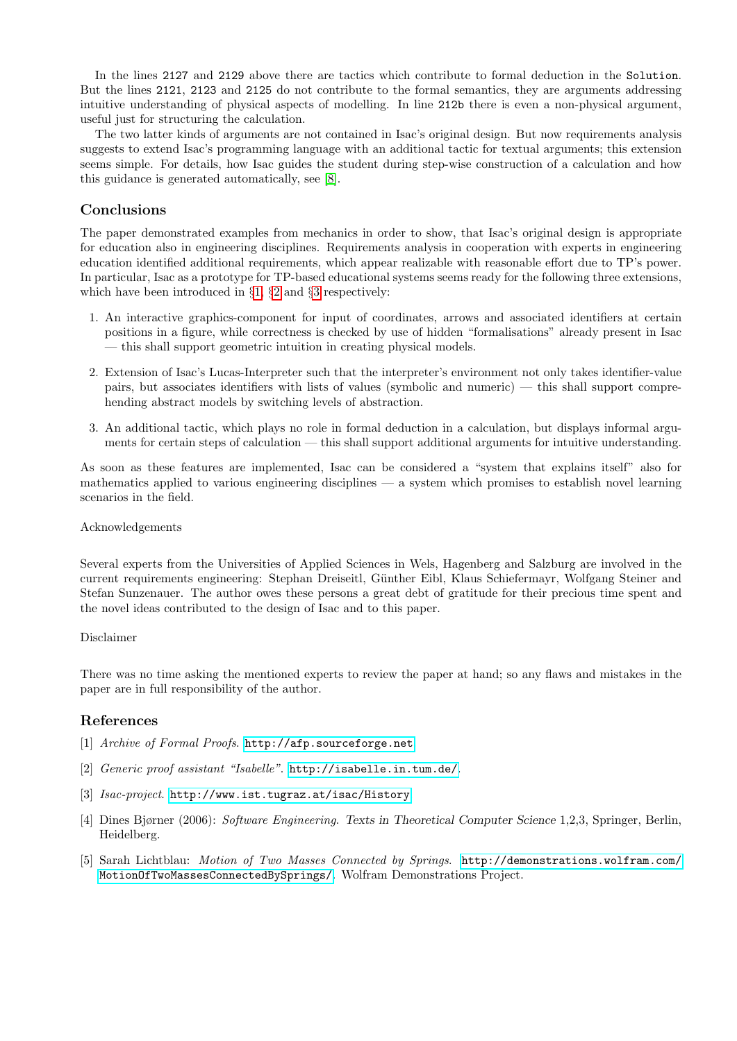In the lines 2127 and 2129 above there are tactics which contribute to formal deduction in the Solution. But the lines 2121, 2123 and 2125 do not contribute to the formal semantics, they are arguments addressing intuitive understanding of physical aspects of modelling. In line 212b there is even a non-physical argument, useful just for structuring the calculation.

The two latter kinds of arguments are not contained in Isac's original design. But now requirements analysis suggests to extend Isac's programming language with an additional tactic for textual arguments; this extension seems simple. For details, how Isac guides the student during step-wise construction of a calculation and how this guidance is generated automatically, see [\[8\]](#page-5-3).

# Conclusions

The paper demonstrated examples from mechanics in order to show, that Isac's original design is appropriate for education also in engineering disciplines. Requirements analysis in cooperation with experts in engineering education identified additional requirements, which appear realizable with reasonable effort due to TP's power. In particular, Isac as a prototype for TP-based educational systems seems ready for the following three extensions, which have been introduced in §[1,](#page-1-3) §[2](#page-1-0) and §[3](#page-3-0) respectively:

- 1. An interactive graphics-component for input of coordinates, arrows and associated identifiers at certain positions in a figure, while correctness is checked by use of hidden "formalisations" already present in Isac — this shall support geometric intuition in creating physical models.
- 2. Extension of Isac's Lucas-Interpreter such that the interpreter's environment not only takes identifier-value pairs, but associates identifiers with lists of values (symbolic and numeric) — this shall support comprehending abstract models by switching levels of abstraction.
- 3. An additional tactic, which plays no role in formal deduction in a calculation, but displays informal arguments for certain steps of calculation — this shall support additional arguments for intuitive understanding.

As soon as these features are implemented, Isac can be considered a "system that explains itself" also for mathematics applied to various engineering disciplines — a system which promises to establish novel learning scenarios in the field.

#### Acknowledgements

Several experts from the Universities of Applied Sciences in Wels, Hagenberg and Salzburg are involved in the current requirements engineering: Stephan Dreiseitl, G¨unther Eibl, Klaus Schiefermayr, Wolfgang Steiner and Stefan Sunzenauer. The author owes these persons a great debt of gratitude for their precious time spent and the novel ideas contributed to the design of Isac and to this paper.

#### Disclaimer

There was no time asking the mentioned experts to review the paper at hand; so any flaws and mistakes in the paper are in full responsibility of the author.

# References

- <span id="page-4-0"></span>[1] Archive of Formal Proofs. <http://afp.sourceforge.net>.
- <span id="page-4-2"></span>[2] Generic proof assistant "Isabelle". <http://isabelle.in.tum.de/>.
- <span id="page-4-1"></span>[3] Isac-project. <http://www.ist.tugraz.at/isac/History>.
- <span id="page-4-3"></span>[4] Dines Bjørner (2006): Software Engineering. Texts in Theoretical Computer Science 1,2,3, Springer, Berlin, Heidelberg.
- <span id="page-4-4"></span>[5] Sarah Lichtblau: Motion of Two Masses Connected by Springs. [http://demonstrations.wolfram.com/](http://demonstrations.wolfram.com/MotionOfTwoMassesConnectedBySprings/) [MotionOfTwoMassesConnectedBySprings/](http://demonstrations.wolfram.com/MotionOfTwoMassesConnectedBySprings/). Wolfram Demonstrations Project.